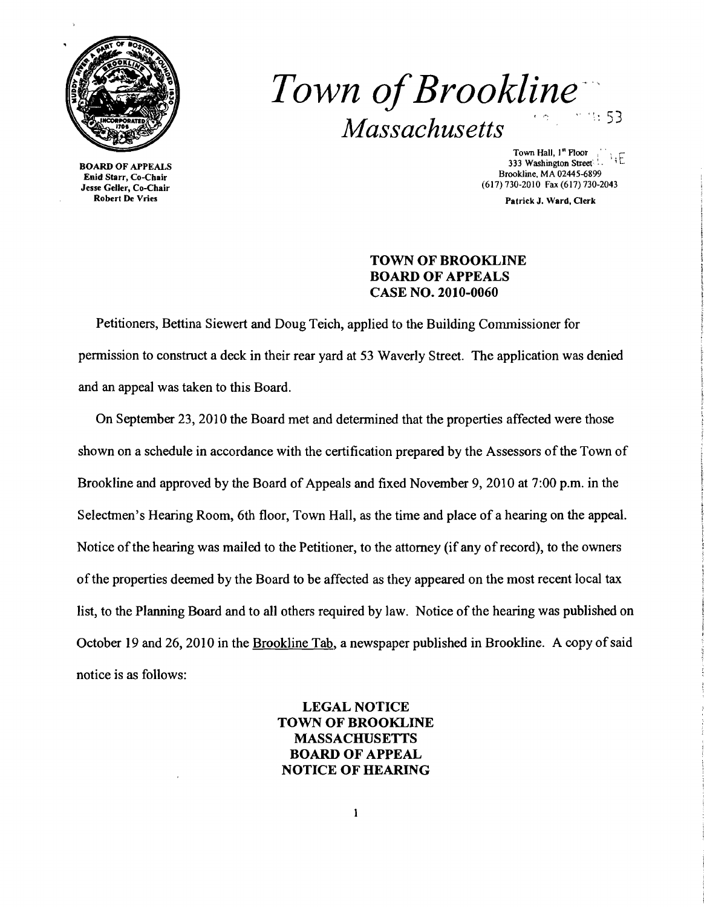

BOARD OF APPEALS Enid Starr, Co-Chair Jesse Geller, Co-Chair Robert De Vries

*Town of Brookline*  $Massachusetts$ 

Town Hall,  $I^*$  Ploor<br>333 Washington Street Town Hall,  $I^{\text{st}}$  Floor Brookline, MA 02445-6899 (617)730-2010 Fax (617)730-2043

Patrick J. Ward, Clerk

### TOWN OF BROOKLINE BOARD OF APPEALS CASE NO. 2010-0060

Petitioners, Bettina Siewert and Doug Teich, applied to the Building Commissioner for pennission to construct a deck in their rear yard at 53 Waverly Street. The application was denied and an appeal was taken to this Board.

On September 23, 2010 the Board met and detennined that the properties affected were those shown on a schedule in accordance with the certification prepared by the Assessors of the Town of Brookline and approved by the Board of Appeals and fixed November 9,2010 at 7:00 p.m. in the Selectmen's Hearing Room, 6th floor, Town Hall, as the time and place of a hearing on the appeal. Notice of the hearing was mailed to the Petitioner, to the attorney (if any of record), to the owners ofthe properties deemed by the Board to be affected as they appeared on the most recent local tax list, to the Planning Board and to all others required by law. Notice of the hearing was published on October 19 and 26, 2010 in the Brookline Tab, a newspaper published in Brookline. A copy of said notice is as follows:

# LEGAL NOTICE TOWN OF BROOKLINE MASSACHUSETTS BOARD OF APPEAL NOTICE OF HEARING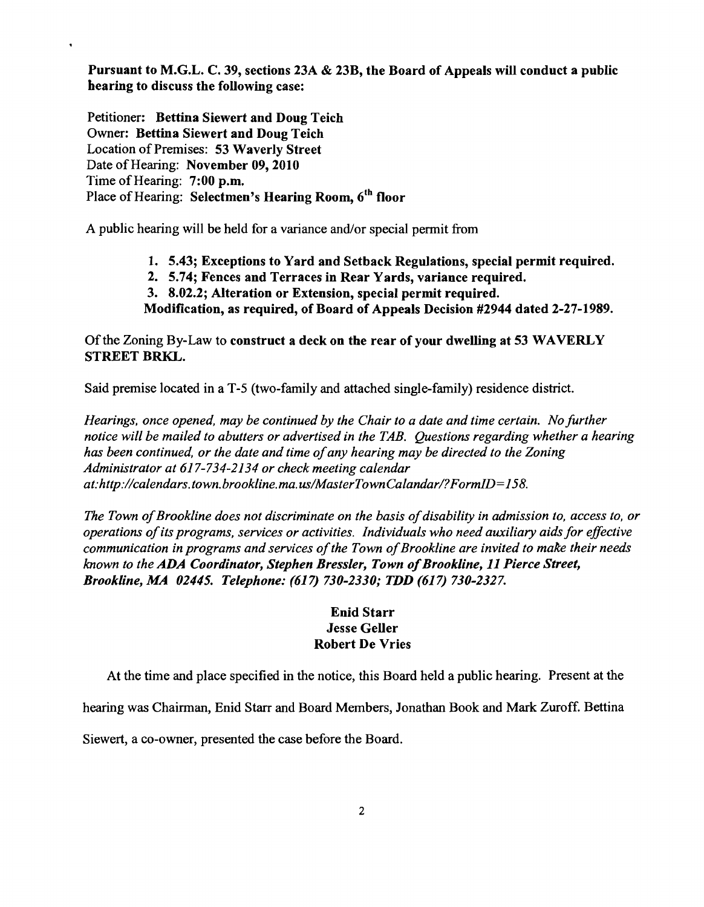Pursuant to M.G.L. C. 39, sections 23A & 23B, the Board of Appeals will conduct a public hearing to discuss the following case:

Petitioner: Bettina Siewert and Doug Teich Owner: Bettina Siewert and Doug Teich Location of Premises: 53 Waverly Street Date of Hearing: November 09, 2010 Time of Hearing: 7:00 p.m. Place of Hearing: Selectmen's Hearing Room, 6<sup>th</sup> floor

 $\bullet$ 

A public hearing will be held for a variance and/or special permit from

- 1. 5.43; Exceptions to Yard and Setback Regulations, special permit required.
- 2. 5.74; Fences and Terraces in Rear Yards, variance required.
- 3. 8.02.2; Alteration or Extension, special permit required.
- Modification, as required, of Board of Appeals Decision #2944 dated 2-27-1989.

Of the Zoning By-Law to construct a deck on the rear of your dwelling at 53 WAVERLY STREET BRKL.

Said premise located in a T-5 (two-family and attached single-family) residence district.

*Hearings, once opened, may be continued by the Chair to a date and time certain. No further notice will be mailed to abutters or advertised in the TAB. Questions regarding whether a hearing has been continued, or the date and time ofany hearing may be directed to the Zoning Administrator at* 617-734-2134 *or check meeting calendar at:http://calendars.town. brookline.ma. uslMasterTownCalandar/?FormID=158.* 

The Town of Brookline does not discriminate on the basis of disability in admission to, access to, or *operations ofits programs, services or activities. Individuals who need auxiliary aids for effective communication in programs and services of the Town of Brookline are invited to make their needs known to the ADA Coordinator, Stephen Bressler, Town of Brookline, 11 Pierce Street, Brookline, MA 02445. Telephone:* (617) *730-2330; TDD* (617) *730-2327.* 

## Enid Starr Jesse Geller Robert De Vries

At the time and place specified in the notice, this Board held a public hearing. Present at the

hearing was Chairman, Enid Starr and Board Members, Jonathan Book and Mark Zuroff. Bettina

Siewert, a co-owner, presented the case before the Board.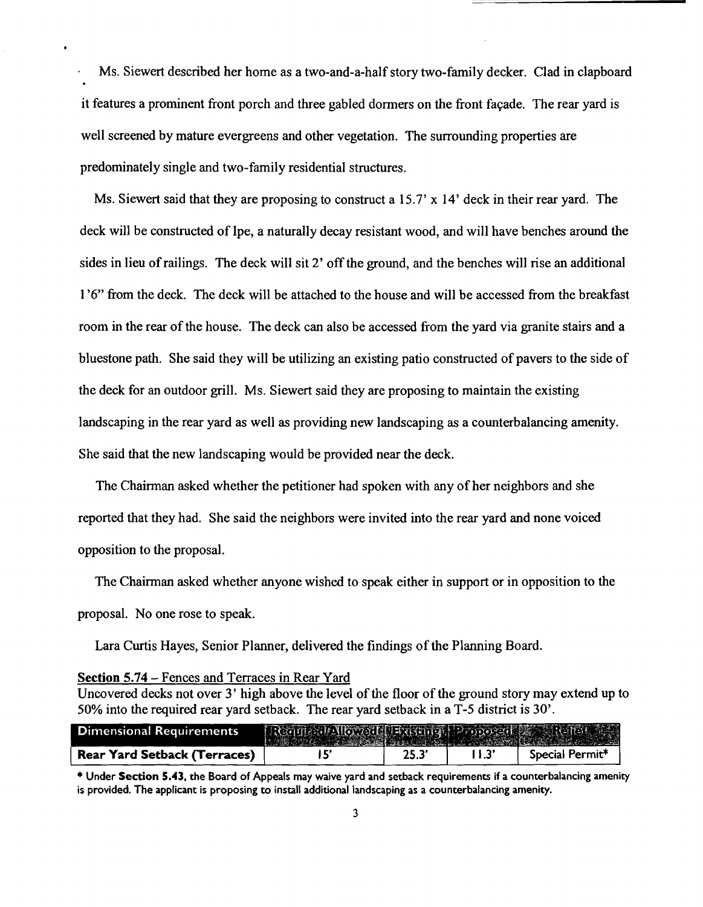Ms. Siewert described her home as a two-and-a-half story two-family decker. Clad in clapboard it features a prominent front porch and three gabled dormers on the front fayade. The rear yard is well screened by mature evergreens and other vegetation. The surrounding properties are predominately single and two-family residential structures.

Ms. Siewert said that they are proposing to construct a 15.7'  $\times$  14' deck in their rear yard. The deck will be constructed of Ipe, a naturally decay resistant wood, and will have benches around the sides in lieu ofrailings. The deck will sit 2' off the ground, and the benches will rise an additional 1'6" from the deck. The deck will be attached to the house and will be accessed from the breakfast room in the rear of the house. The deck can also be accessed from the yard via granite stairs and a bluestone path. She said they will be utilizing an existing patio constructed of pavers to the side of the deck for an outdoor grill. Ms. Siewert said they are proposing to maintain the existing landscaping in the rear yard as well as providing new landscaping as a counterbalancing amenity. She said that the new landscaping would be provided near the deck.

The Chairman asked whether the petitioner had spoken with any of her neighbors and she reported that they had. She said the neighbors were invited into the rear yard and none voiced opposition to the proposal.

The Chairman asked whether anyone wished to speak either in support or in opposition to the proposal. No one rose to speak.

Lara Curtis Hayes, Senior Planner, delivered the findings of the Planning Board.

### Section 5.74 - Fences and Terraces in Rear Yard

Uncovered decks not over 3' high above the level of the floor of the ground story may extend up to 50% into the required rear yard setback. The rear yard setback in aT-5 district is 30'.

| Dimensional Requirements            | Require Moved Hadding Proposed & Relief |      |                 |
|-------------------------------------|-----------------------------------------|------|-----------------|
| <b>Rear Yard Setback (Terraces)</b> |                                         | 25.3 | Special Permit* |

\* Under Section 5.43, the Board of Appeals may waive yard and setback requirements if a counterbalancing amenity is provided. The applicant is proposing to install additional landscaping as a counterbalancing amenity.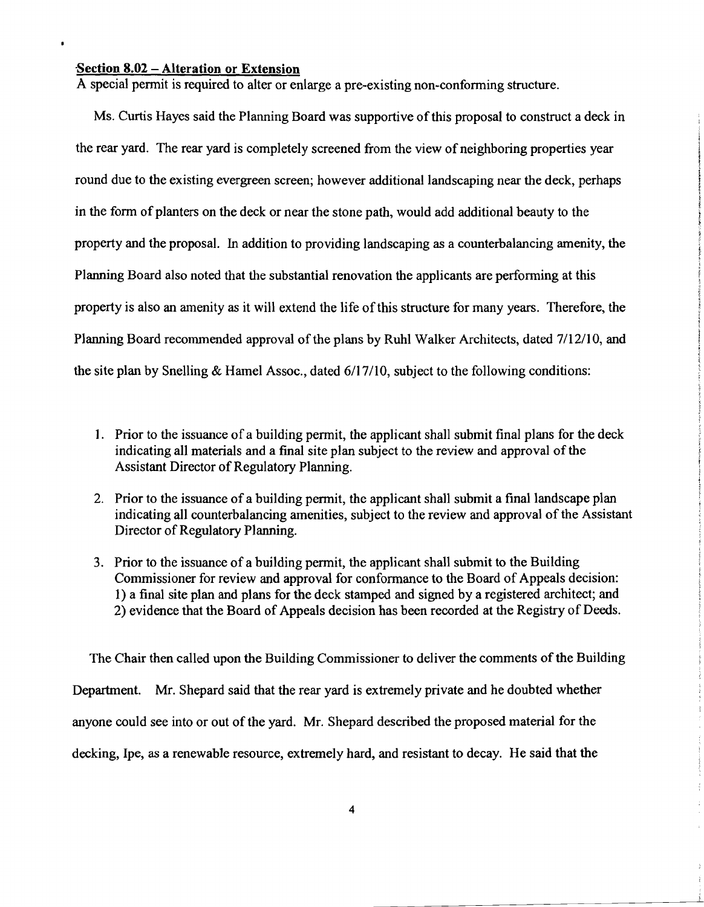#### Section  $8.02$  - Alteration or Extension

 $\bullet$ 

A special permit is required to alter or enlarge a pre-existing non-conforming structure.

Ms. Curtis Hayes said the Planning Board was supportive of this proposal to construct a deck in the rear yard. The rear yard is completely screened from the view of neighboring properties year round due to the existing evergreen screen; however additional landscaping near the deck, perhaps in the fonn of planters on the deck or near the stone path, would add additional beauty to the property and the proposal. In addition to providing landscaping as a counterbalancing amenity, the Planning Board also noted that the substantial renovation the applicants are performing at this property is also an amenity as it will extend the life of this structure for many years. Therefore, the Planning Board recommended approval of the plans by Ruhl Walker Architects, dated 7/12/10, and the site plan by Snelling & Hamel Assoc., dated 6/17/10, subject to the following conditions:

- 1. Prior to the issuance of a building permit, the applicant shall submit final plans for the deck indicating all materials and a final site plan subject to the review and approval of the Assistant Director of Regulatory Planning.
- 2. Prior to the issuance of a building permit, the applicant shall submit a final landscape plan indicating all counterbalancing amenities, subject to the review and approval of the Assistant Director of Regulatory Planning.
- 3. Prior to the issuance of a building permit, the applicant shall submit to the Building Commissioner for review and approval for conformance to the Board of Appeals decision: I) a final site plan and plans for the deck stamped and signed by a registered architect; and 2) evidence that the Board of Appeals decision has been recorded at the Registry of Deeds.

The Chair then called upon the Building Commissioner to deliver the comments of the Building Department. Mr. Shepard said that the rear yard is extremely private and he doubted whether anyone could see into or out of the yard. Mr. Shepard described the proposed material for the decking, Ipe, as a renewable resource, extremely hard, and resistant to decay. He said that the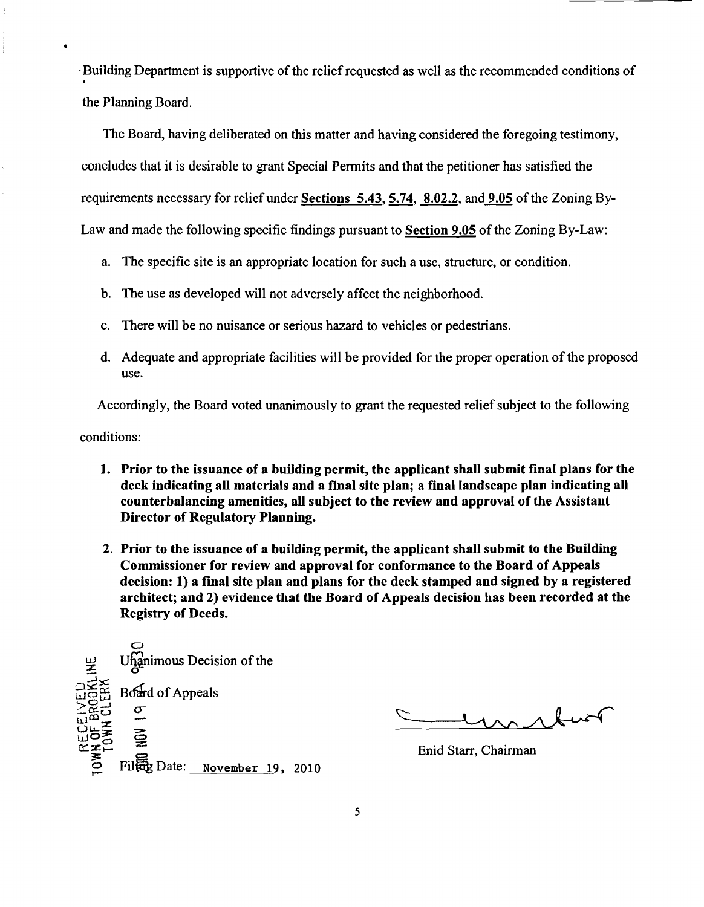$\cdot$ Building Department is supportive of the relief requested as well as the recommended conditions of the Planning Board.

The Board, having deliberated on this matter and having considered the foregoing testimony, concludes that it is desirable to grant Special Permits and that the petitioner has satisfied the requirements necessary for relief under Sections 5.43, 5.74, 8.02.2, and 9.05 of the Zoning By-Law and made the following specific findings pursuant to Section 9.05 of the Zoning By-Law:

- a. The specific site is an appropriate location for such a use, structure, or condition.
- b. The use as developed will not adversely affect the neighborhood.
- c. There will be no nuisance or serious hazard to vehicles or pedestrians.
- d. Adequate and appropriate facilities will be provided for the proper operation of the proposed use.

Accordingly, the Board voted unanimously to grant the requested relief subject to the following

conditions:

- 1. Prior to the issuance of a building permit, the applicant shall submit final plans for the deck indicating all materials and a final site plan; a final landscape plan indicating all counterbalancing amenities, all subject to the review and approval of the Assistant Director of Regulatory Planning.
- 2. Prior to the issuance of a building permit, the applicant shall submit to the Building Commissioner for review and approval for conformance to the Board of Appeals decision: 1) a fmal site plan and plans for the deck stamped and signed by a registered architect; and 2) evidence that the Board of Appeals decision has been recorded at the Registry of Deeds.



no their

Enid Starr, Chairman